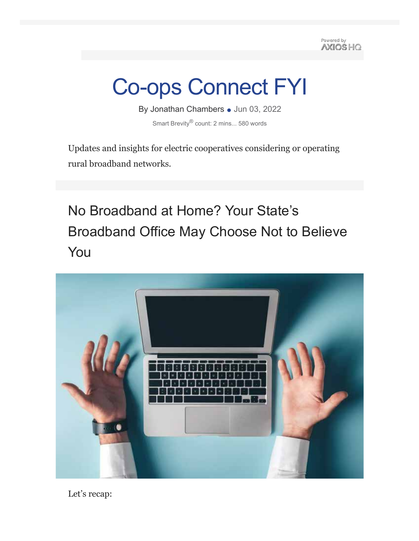Powered by AXIOS HQ

# Co-ops Connect FYI

By Jonathan Chambers • Jun 03, 2022 Smart Brevity® count: 2 mins... 580 words

Updates and insights for electric cooperatives considering or operating rural broadband networks.

No Broadband at Home? Your State's Broadband Office May Choose Not to Believe You



Let's recap: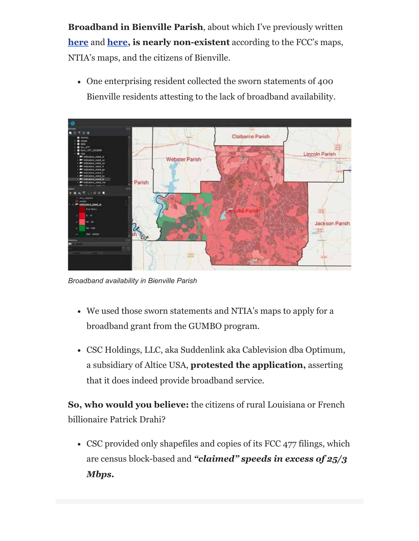**Broadband in Bienville Parish**, about which I've previously written **here** and **here, is nearly non-existent** according to the FCC's maps, NTIA's maps, and the citizens of Bienville.

One enterprising resident collected the sworn statements of 400 Bienville residents attesting to the lack of broadband availability.



*Broadband availability in Bienville Parish*

- We used those sworn statements and NTIA's maps to apply for a broadband grant from the GUMBO program.
- CSC Holdings, LLC, aka Suddenlink aka Cablevision dba Optimum, a subsidiary of Altice USA, **protested the application,** asserting that it does indeed provide broadband service.

**So, who would you believe:** the citizens of rural Louisiana or French billionaire Patrick Drahi?

• CSC provided only shapefiles and copies of its FCC 477 filings, which are census block-based and *"claimed" speeds in excess of 25/3 Mbps.*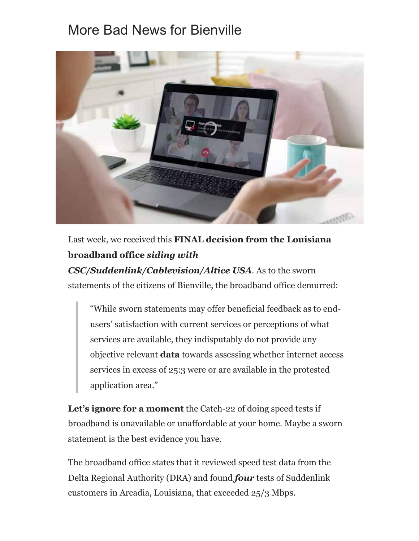## More Bad News for Bienville



Last week, we received this **FINAL decision from the Louisiana broadband office** *siding with*

*CSC/Suddenlink/Cablevision/Altice USA*. As to the sworn statements of the citizens of Bienville, the broadband office demurred:

"While sworn statements may offer beneficial feedback as to endusers' satisfaction with current services or perceptions of what services are available, they indisputably do not provide any objective relevant **data** towards assessing whether internet access services in excess of 25:3 were or are available in the protested application area."

Let's **ignore for a moment** the Catch-22 of doing speed tests if broadband is unavailable or unaffordable at your home. Maybe a sworn statement is the best evidence you have.

The broadband office states that it reviewed speed test data from the Delta Regional Authority (DRA) and found *four* tests of Suddenlink customers in Arcadia, Louisiana, that exceeded 25/3 Mbps.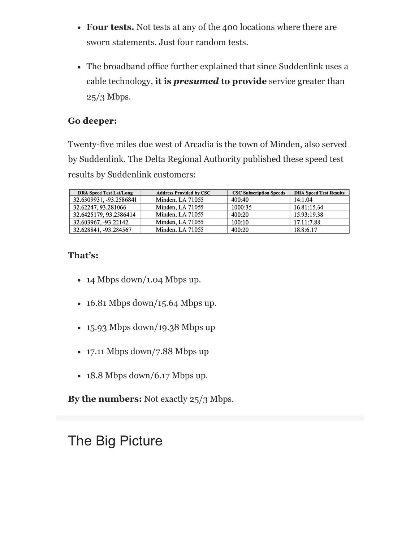- **Four tests.** Not tests at any of the 400 locations where there are sworn statements. Just four random tests.
- The broadband office further explained that since Suddenlink uses a cable technology, **it is** *presumed* **to provide** service greater than  $25/3$  Mbps.

#### **Go deeper:**

Twenty-five miles due west of Arcadia is the town of Minden, also served by Suddenlink. The Delta Regional Authority published these speed test results by Suddenlink customers:

| <b>DRA Speed Test Lat/Long</b> | <b>Address Provided by CSC</b> | <b>CSC Subscription Speeds</b> | <b>DRA Speed Test Results</b> |
|--------------------------------|--------------------------------|--------------------------------|-------------------------------|
| 32.6309931, -93.2586841        | Minden, LA 71055               | 400:40                         | 14:1.04                       |
| 32.62247, 93.281066            | Minden, LA 71055               | 1000:35                        | 16.81:15.64                   |
| 32.6425179, 93.2586414         | Minden, LA 71055               | 400:20                         | 15.93:19.38                   |
| 32.603967, -93.22142           | Minden, LA 71055               | 100:10                         | 17.11:7.88                    |
| 32.628841, -93.284567          | Minden, LA 71055               | 400:20                         | 18.8:6.17                     |

#### **That's:**

- $\cdot$  14 Mbps down/1.04 Mbps up.
- 16.81 Mbps down/15.64 Mbps up.
- 15.93 Mbps down/19.38 Mbps up
- 17.11 Mbps down/7.88 Mbps up
- $\cdot$  18.8 Mbps down/6.17 Mbps up.

**By the numbers:** Not exactly 25/3 Mbps.

# The Big Picture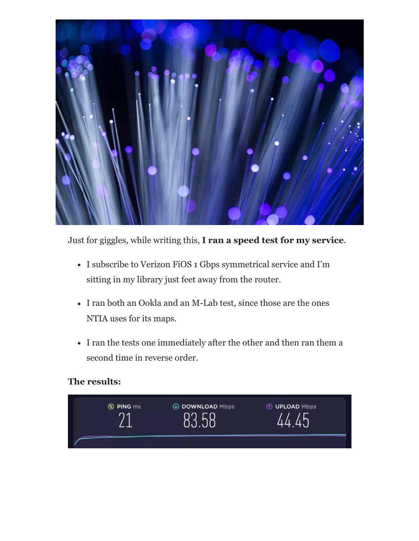

Just for giggles, while writing this, **I ran a speed test for my service**.

- I subscribe to Verizon FiOS 1 Gbps symmetrical service and I'm sitting in my library just feet away from the router.
- I ran both an Ookla and an M-Lab test, since those are the ones NTIA uses for its maps.
- I ran the tests one immediately after the other and then ran them a second time in reverse order.

#### **The results:**

| <b>O PING ms</b><br>۰, | <b>E DOWNLOAD Mbps</b> | <b>TO UPLOAD Mbps</b> |
|------------------------|------------------------|-----------------------|
|                        |                        |                       |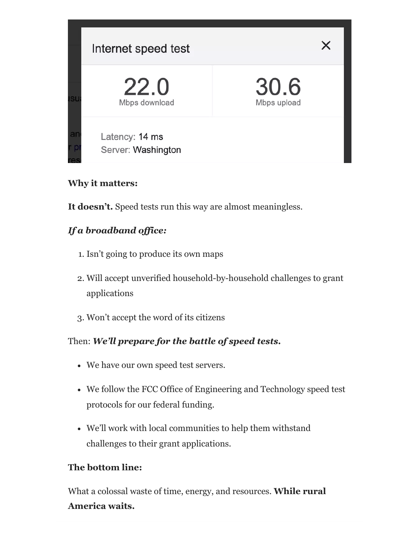

#### **Why it matters:**

**It doesn't.** Speed tests run this way are almost meaningless.

#### *If a broadband office:*

- 1. Isn't going to produce its own maps
- 2. Will accept unverified household-by-household challenges to grant applications
- 3. Won't accept the word of its citizens

#### Then: *We'll prepare for the battle of speed tests.*

- We have our own speed test servers.
- We follow the FCC Office of Engineering and Technology speed test protocols for our federal funding.
- We'll work with local communities to help them withstand challenges to their grant applications.

#### **The bottom line:**

What a colossal waste of time, energy, and resources. **While rural America waits.**